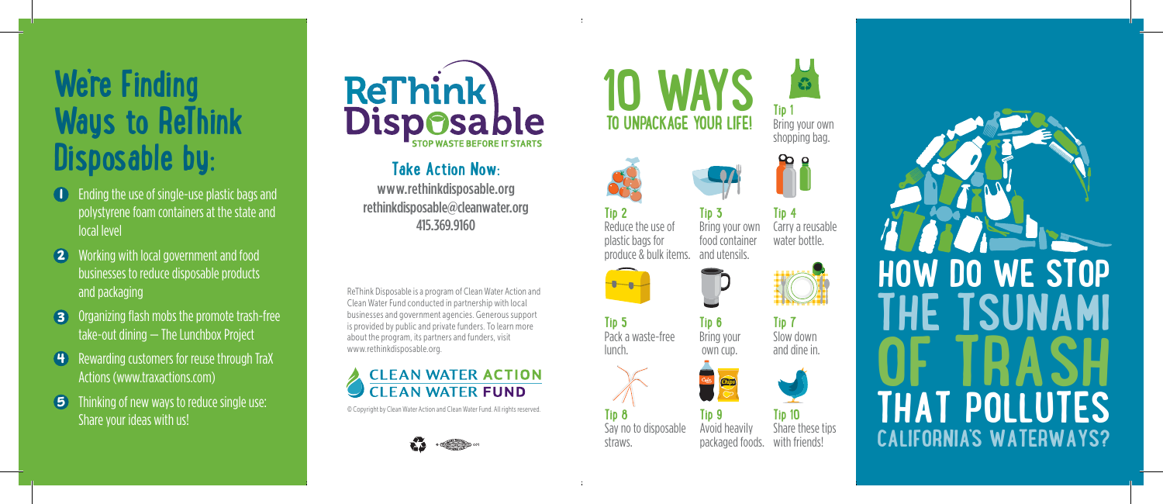# **We're Finding Ways to ReThink Disposable by:**

- Ending the use of single-use plastic bags and **1** polystyrene foam containers at the state and local level
- Working with local government and food businesses to reduce disposable products and packaging **2**
- **3** Organizing flash mobs the promote trash-free take-out dining — The Lunchbox Project
- **4** Rewarding customers for reuse through TraX Actions (www.traxactions.com)
- Thinking of new ways to reduce single use: Share your ideas with us! **5**



#### **Take Action Now:**

www.rethinkdisposable.org rethinkdisposable@cleanwater.org 415.369.9160

ReThink Disposable is a program of Clean Water Action and Reffillin Disposable is a program of Clean Water Action and<br>Clean Water Fund conducted in partnership with local businesses and government agencies. Generous support is provided by public and private funders. To learn more about the program, its partners and funders, visit about the program, its partners and n<br>www.rethinkdisposable.org.

#### **A CLEAN WATER ACTION CLEAN WATER FUND**

© Copyright by Clean Water Action and Clean Water Fund. All rights reserved.



**10 UNPACKAGE YOUR LIFE!** 



**Tip 3**

**Tip 6** Bring your own cup.

**Tip 9**

Chips (Chips)



**Tip 1** Bring your own shopping bag.



and utensils. Carry a reusable water bottle.



**Tip 7** Slow down and dine in.



**Tip 10** Share these tips with friends! Avoid heavily packaged foods.



**Tip 2** Reduce the use of plastic bags for produce & bulk items.

**Tip 5** Pack a waste-free lunch.

ber 11

**Tip 8**

Say no to disposable straws.